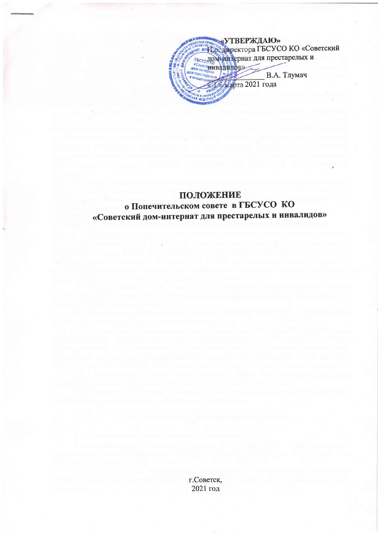

## ПОЛОЖЕНИЕ о Попечительском совете в ГБСУСО КО «Советский дом-интернат для престарелых и инвалидов»

г.Советск, 2021 год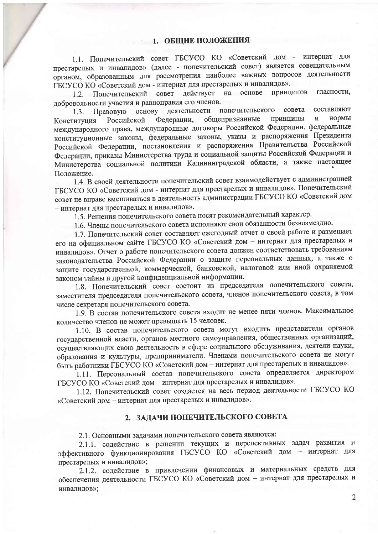1.1. Попечительский совет ГБСУСО КО «Советский дом - интернат для престарелых и инвалидов» (далее - попечительский совет) является совещательным органом, образованным для рассмотрения наиболее важных вопросов деятельности ГБСУСО КО «Советский дом - интернат для престарелых и инвалидов».

1.2. Попечительский совет действует на основе гласности, принципов добровольности участия и равноправия его членов.

деятельности попечительского совета составляют основу Правовую  $1.3.$ общепризнанные нормы принципы  $\overline{\mathbf{M}}$ Российской Федерации, Конституция международного права, международные договоры Российской Федерации, федеральные конституционные законы, федеральные законы, указы и распоряжения Президента Российской Федерации, постановления и распоряжения Правительства Российской Федерации, приказы Министерства труда и социальной защиты Российской Федерации и Министерства социальной политики Калининградской области, а также настоящее Положение.

1.4. В своей деятельности попечительский совет взаимодействует с администрацией ГБСУСО КО «Советский дом - интернат для престарелых и инвалидов». Попечительский совет не вправе вмешиваться в деятельность администрации ГБСУСО КО «Советский дом - интернат для престарелых и инвалидов».

1.5. Решения попечительского совета носят рекомендательный характер.

1.6. Члены попечительского совета исполняют свои обязанности безвозмездно.

1.7. Попечительский совет составляет ежегодный отчет о своей работе и размещает его на официальном сайте ГБСУСО КО «Советский дом - интернат для престарелых и инвалидов». Отчет о работе попечительского совета должен соответствовать требованиям законодательства Российской Федерации о защите персональных данных, а также о защите государственной, коммерческой, банковской, налоговой или иной охраняемой законом тайны и другой конфиденциальной информации.

1.8. Попечительский совет состоит из председателя попечительского совета, заместителя председателя попечительского совета, членов попечительского совета, в том числе секретаря попечительского совета.

1.9. В состав попечительского совета входит не менее пяти членов. Максимальное количество членов не может превышать 15 человек.

1.10. В состав попечительского совета могут входить представители органов государственной власти, органов местного самоуправления, общественных организаций, осуществляющих свою деятельность в сфере социального обслуживания, деятели науки, образования и культуры, предприниматели. Членами попечительского совета не могут быть работники ГБСУСО КО «Советский дом - интернат для престарелых и инвалидов».

1.11. Персональный состав попечительского совета определяется директором ГБСУСО КО «Советский дом - интернат для престарелых и инвалидов».

1.12. Попечительский совет создается на весь период деятельности ГБСУСО КО «Советский дом - интернат для престарелых и инвалидов».

#### 2. ЗАДАЧИ ПОПЕЧИТЕЛЬСКОГО СОВЕТА

2.1. Основными задачами попечительского совета являются:

2.1.1. содействие в решении текущих и перспективных задач развития и эффективного функционирования ГБСУСО КО «Советский дом - интернат для престарелых и инвалидов»;

2.1.2. содействие в привлечении финансовых и материальных средств для обеспечения деятельности ГБСУСО КО «Советский дом - интернат для престарелых и инвалидов»;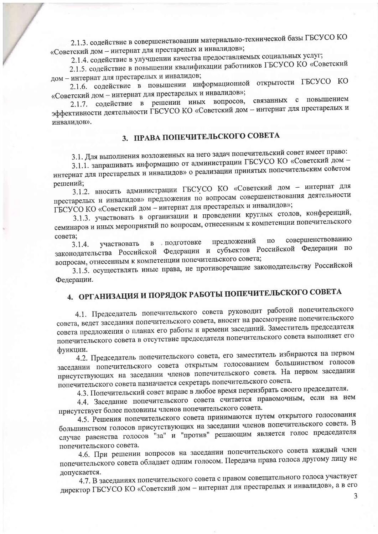2.1.3. содействие в совершенствовании материально-технической базы ГБСУСО КО «Советский дом - интернат для престарелых и инвалидов»;

2.1.4. содействие в улучшении качества предоставляемых социальных услуг;

2.1.5. содействие в повышении квалификации работников ГБСУСО КО «Советский дом - интернат для престарелых и инвалидов;

2.1.6. содействие в повышении информационной открытости ГБСУСО КО «Советский дом - интернат для престарелых и инвалидов»;

связанных с повышением содействие в решении иных вопросов,  $2.1.7.$ эффективности деятельности ГБСУСО КО «Советский дом - интернат для престарелых и инвалидов».

## 3. ПРАВА ПОПЕЧИТЕЛЬСКОГО СОВЕТА

3.1. Для выполнения возложенных на него задач попечительский совет имеет право:

3.1.1. запрашивать информацию от администрации ГБСУСО КО «Советский дом интернат для престарелых и инвалидов» о реализации принятых попечительским советом решений;

3.1.2. вносить администрации ГБСУСО КО «Советский дом - интернат для престарелых и инвалидов» предложения по вопросам совершенствования деятельности ГБСУСО КО «Советский дом - интернат для престарелых и инвалидов»;

3.1.3. участвовать в организации и проведении круглых столов, конференций, семинаров и иных мероприятий по вопросам, отнесенным к компетенции попечительского совета:

совершенствованию предложений  $\Pi$ <sup>O</sup> в подготовке участвовать  $3.1.4.$ законодательства Российской Федерации и субъектов Российской Федерации по вопросам, отнесенным к компетенции попечительского совета;

3.1.5. осуществлять иные права, не противоречащие законодательству Российской Федерации.

# 4. ОРГАНИЗАЦИЯ И ПОРЯДОК РАБОТЫ ПОПЕЧИТЕЛЬСКОГО СОВЕТА

4.1. Председатель попечительского совета руководит работой попечительского совета, ведет заседания попечительского совета, вносит на рассмотрение попечительского совета предложения о планах его работы и времени заседаний. Заместитель председателя попечительского совета в отсутствие председателя попечительского совета выполняет его функции.

4.2. Председатель попечительского совета, его заместитель избираются на первом заседании попечительского совета открытым голосованием большинством голосов присутствующих на заседании членов попечительского совета. На первом заседании попечительского совета назначается секретарь попечительского совета.

4.3. Попечительский совет вправе в любое время переизбрать своего председателя.

4.4. Заседание попечительского совета считается правомочным, если на нем присутствует более половины членов попечительского совета.

4.5. Решения попечительского совета принимаются путем открытого голосования большинством голосов присутствующих на заседании членов попечительского совета. В случае равенства голосов "за" и "против" решающим является голос председателя попечительского совета.

4.6. При решении вопросов на заседании попечительского совета каждый член попечительского совета обладает одним голосом. Передача права голоса другому лицу не допускается.

4.7. В заседаниях попечительского совета с правом совещательного голоса участвует директор ГБСУСО КО «Советский дом - интернат для престарелых и инвалидов», а в его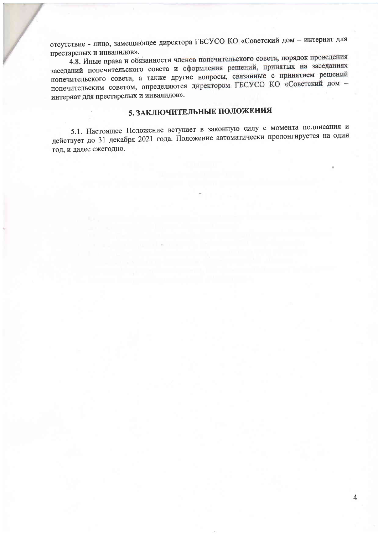отсутствие - лицо, замещающее директора ГБСУСО КО «Советский дом - интернат для престарелых и инвалидов».

4.8. Иные права и обязанности членов попечительского совета, порядок проведения заседаний попечительского совета и оформления решений, принятых на заседаниях попечительского совета, а также другие вопросы, связанные с принятием решений попечительским советом, определяются директором ГБСУСО КО «Советский дом интернат для престарелых и инвалидов».

## 5. ЗАКЛЮЧИТЕЛЬНЫЕ ПОЛОЖЕНИЯ

5.1. Настоящее Положение вступает в законную силу с момента подписания и действует до 31 декабря 2021 года. Положение автоматически пролонгируется на один год, и далее ежегодно.